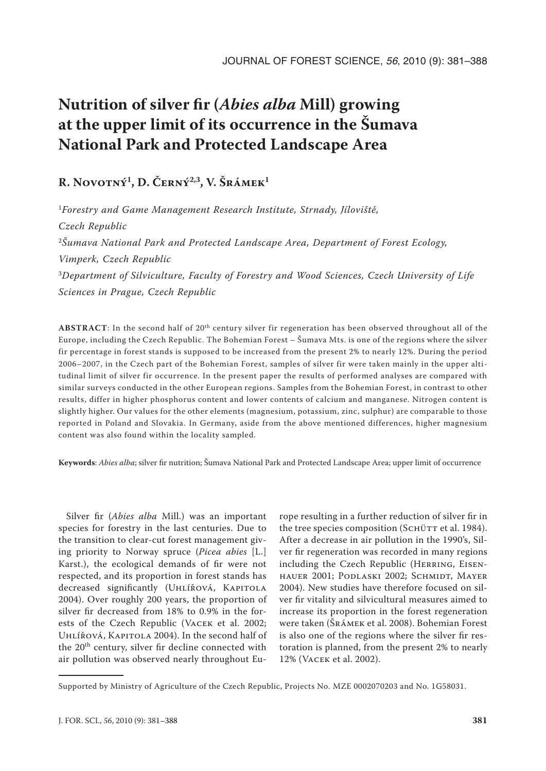# **Nutrition of silver fir (***Abies alba* **Mill) growing at the upper limit of its occurrence in the Šumava National Park and Protected Landscape Area**

# **R. Novotný1, D. Černý2,3, V. Šrámek1**

<sup>1</sup>*Forestry and Game Management Research Institute, Strnady, Jíloviště, Czech Republic* <sup>2</sup>*Šumava National Park and Protected Landscape Area, Department of Forest Ecology, Vimperk, Czech Republic* <sup>3</sup>*Department of Silviculture, Faculty of Forestry and Wood Sciences, Czech University of Life Sciences in Prague, Czech Republic*

**AbstraCt**: In the second half of 20th century silver fir regeneration has been observed throughout all of the Europe, including the Czech Republic. The Bohemian Forest – Šumava Mts. is one of the regions where the silver fir percentage in forest stands is supposed to be increased from the present 2% to nearly 12%. During the period 2006–2007, in the Czech part of the Bohemian Forest, samples of silver fir were taken mainly in the upper altitudinal limit of silver fir occurrence. In the present paper the results of performed analyses are compared with similar surveys conducted in the other European regions. Samples from the Bohemian Forest, in contrast to other results, differ in higher phosphorus content and lower contents of calcium and manganese. Nitrogen content is slightly higher. Our values for the other elements (magnesium, potassium, zinc, sulphur) are comparable to those reported in Poland and Slovakia. In Germany, aside from the above mentioned differences, higher magnesium content was also found within the locality sampled.

**Keywords**: *Abies alba*; silver fir nutrition; Šumava National Park and Protected Landscape Area; upper limit of occurrence

Silver fir (*Abies alba* Mill.) was an important species for forestry in the last centuries. Due to the transition to clear-cut forest management giving priority to Norway spruce (*Picea abies* [L.] Karst.), the ecological demands of fir were not respected, and its proportion in forest stands has decreased significantly (UHLÍŘOVÁ, KAPITOLA 2004). Over roughly 200 years, the proportion of silver fir decreased from 18% to 0.9% in the forests of the Czech Republic (Vacek et al. 2002; Uhlířová, Kapitola 2004). In the second half of the 20<sup>th</sup> century, silver fir decline connected with air pollution was observed nearly throughout Eu-

rope resulting in a further reduction of silver fir in the tree species composition (SCHÜTT et al. 1984). After a decrease in air pollution in the 1990's, Silver fir regeneration was recorded in many regions including the Czech Republic (HERRING, EISENhauer 2001; Podlaski 2002; Schmidt, Mayer 2004). New studies have therefore focused on silver fir vitality and silvicultural measures aimed to increase its proportion in the forest regeneration were taken (Šrámek et al. 2008). Bohemian Forest is also one of the regions where the silver fir restoration is planned, from the present 2% to nearly 12% (Vacek et al. 2002).

Supported by Ministry of Agriculture of the Czech Republic, Projects No. MZE 0002070203 and No. 1G58031.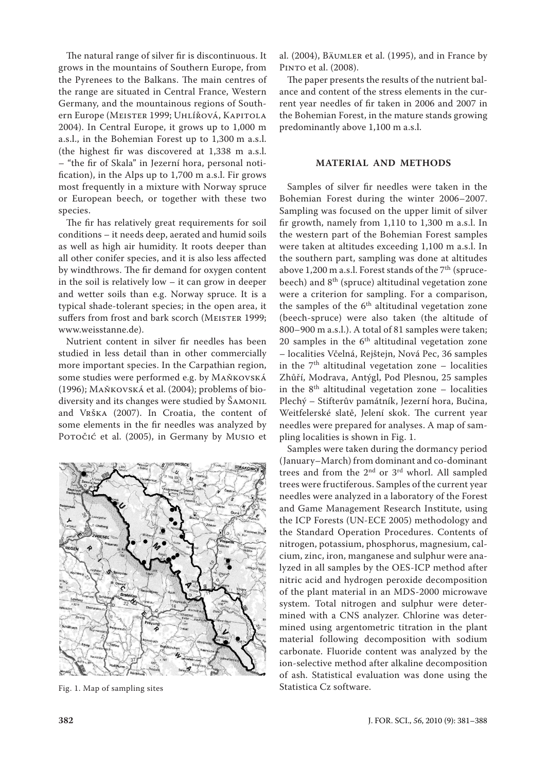The natural range of silver fir is discontinuous. It grows in the mountains of Southern Europe, from the Pyrenees to the Balkans. The main centres of the range are situated in Central France, Western Germany, and the mountainous regions of Southern Europe (MEISTER 1999; UHLÍŘOVÁ, KAPITOLA 2004). In Central Europe, it grows up to 1,000 m a.s.l., in the Bohemian Forest up to 1,300 m a.s.l. (the highest fir was discovered at 1,338 m a.s.l. – "the fir of Skala" in Jezerní hora, personal notification), in the Alps up to 1,700 m a.s.l. Fir grows most frequently in a mixture with Norway spruce or European beech, or together with these two species.

The fir has relatively great requirements for soil conditions – it needs deep, aerated and humid soils as well as high air humidity. It roots deeper than all other conifer species, and it is also less affected by windthrows. The fir demand for oxygen content in the soil is relatively low – it can grow in deeper and wetter soils than e.g. Norway spruce. It is a typical shade-tolerant species; in the open area, it suffers from frost and bark scorch (MEISTER 1999; www.weisstanne.de).

Nutrient content in silver fir needles has been studied in less detail than in other commercially more important species. In the Carpathian region, some studies were performed e.g. by Maňkovská (1996); Maňkovská et al. (2004); problems of biodiversity and its changes were studied by ŠAMONIL and Vrška (2007). In Croatia, the content of some elements in the fir needles was analyzed by Poročić et al. (2005), in Germany by Musio et



Fig. 1. Map of sampling sites

al. (2004), Bäumler et al. (1995), and in France by Pinto et al. (2008).

The paper presents the results of the nutrient balance and content of the stress elements in the current year needles of fir taken in 2006 and 2007 in the Bohemian Forest, in the mature stands growing predominantly above 1,100 m a.s.l.

## **Material and methods**

Samples of silver fir needles were taken in the Bohemian Forest during the winter 2006–2007. Sampling was focused on the upper limit of silver fir growth, namely from 1,110 to 1,300 m a.s.l. In the western part of the Bohemian Forest samples were taken at altitudes exceeding 1,100 m a.s.l. In the southern part, sampling was done at altitudes above 1,200 m a.s.l. Forest stands of the  $7<sup>th</sup>$  (sprucebeech) and 8th (spruce) altitudinal vegetation zone were a criterion for sampling. For a comparison, the samples of the  $6<sup>th</sup>$  altitudinal vegetation zone (beech-spruce) were also taken (the altitude of 800–900 m a.s.l.). A total of 81 samples were taken; 20 samples in the  $6<sup>th</sup>$  altitudinal vegetation zone – localities Včelná, Rejštejn, Nová Pec, 36 samples in the  $7<sup>th</sup>$  altitudinal vegetation zone – localities Zhůří, Modrava, Antýgl, Pod Plesnou, 25 samples in the  $8<sup>th</sup>$  altitudinal vegetation zone – localities Plechý – Stifterův památník, Jezerní hora, Bučina, Weitfelerské slatě, Jelení skok. The current year needles were prepared for analyses. A map of sampling localities is shown in Fig. 1.

Samples were taken during the dormancy period (January–March) from dominant and co-dominant trees and from the 2<sup>nd</sup> or 3<sup>rd</sup> whorl. All sampled trees were fructiferous. Samples of the current year needles were analyzed in a laboratory of the Forest and Game Management Research Institute, using the ICP Forests (UN-ECE 2005) methodology and the Standard Operation Procedures. Contents of nitrogen, potassium, phosphorus, magnesium, calcium, zinc, iron, manganese and sulphur were analyzed in all samples by the OES-ICP method after nitric acid and hydrogen peroxide decomposition of the plant material in an MDS-2000 microwave system. Total nitrogen and sulphur were determined with a CNS analyzer. Chlorine was determined using argentometric titration in the plant material following decomposition with sodium carbonate. Fluoride content was analyzed by the ion-selective method after alkaline decomposition of ash. Statistical evaluation was done using the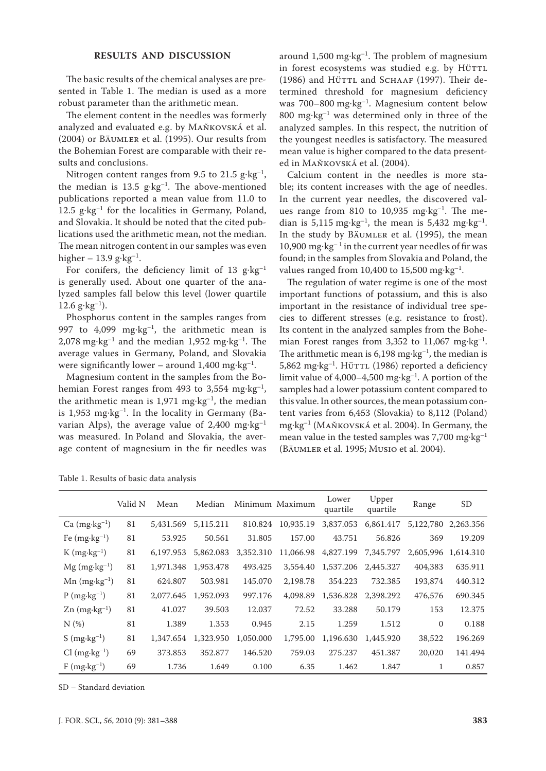### **results and discussion**

The basic results of the chemical analyses are presented in Table 1. The median is used as a more robust parameter than the arithmetic mean.

The element content in the needles was formerly analyzed and evaluated e.g. by Maňkovská et al. (2004) or Bäumler et al. (1995). Our results from the Bohemian Forest are comparable with their results and conclusions.

Nitrogen content ranges from 9.5 to 21.5  $g \cdot kg^{-1}$ , the median is 13.5  $g \cdot kg^{-1}$ . The above-mentioned publications reported a mean value from 11.0 to 12.5  $g \cdot kg^{-1}$  for the localities in Germany, Poland, and Slovakia. It should be noted that the cited publications used the arithmetic mean, not the median. The mean nitrogen content in our samples was even higher – 13.9 g·kg<sup>-1</sup>.

For conifers, the deficiency limit of 13  $g$ ·kg<sup>-1</sup> is generally used. About one quarter of the analyzed samples fall below this level (lower quartile 12.6  $g \cdot kg^{-1}$ ).

Phosphorus content in the samples ranges from 997 to 4,099 mg·kg<sup>-1</sup>, the arithmetic mean is 2,078 mg·kg<sup>-1</sup> and the median 1,952 mg·kg<sup>-1</sup>. The average values in Germany, Poland, and Slovakia were significantly lower – around  $1,400$  mg·kg<sup>-1</sup>.

Magnesium content in the samples from the Bohemian Forest ranges from 493 to 3,554 mg·kg<sup>-1</sup>, the arithmetic mean is  $1,971$  mg·kg<sup>-1</sup>, the median is 1,953 mg·kg<sup>-1</sup>. In the locality in Germany (Bavarian Alps), the average value of 2,400 mg·kg–1 was measured. In Poland and Slovakia, the average content of magnesium in the fir needles was around  $1,500$  mg·kg<sup>-1</sup>. The problem of magnesium in forest ecosystems was studied e.g. by HÜTTL (1986) and Hürrl and SCHAAF (1997). Their determined threshold for magnesium deficiency was 700–800 mg·kg–1. Magnesium content below 800 mg·kg<sup>-1</sup> was determined only in three of the analyzed samples. In this respect, the nutrition of the youngest needles is satisfactory. The measured mean value is higher compared to the data presented in Maňkovská et al. (2004).

Calcium content in the needles is more stable; its content increases with the age of needles. In the current year needles, the discovered values range from 810 to 10,935 mg·kg<sup>-1</sup>. The median is 5,115 mg·kg<sup>-1</sup>, the mean is 5,432 mg·kg<sup>-1</sup>. In the study by BÄUMLER et al. (1995), the mean  $10,\!900$   $\mathrm{mg}\!\cdot\!\mathrm{kg}^{-1}$  in the current year needles of fir was found; in the samples from Slovakia and Poland, the values ranged from 10,400 to 15,500 mg·kg<sup>-1</sup>.

The regulation of water regime is one of the most important functions of potassium, and this is also important in the resistance of individual tree species to different stresses (e.g. resistance to frost). Its content in the analyzed samples from the Bohemian Forest ranges from 3,352 to 11,067 mg·kg<sup>-1</sup>. The arithmetic mean is  $6,198$  mg·kg<sup>-1</sup>, the median is 5,862 mg·kg<sup>-1</sup>. Hürrl (1986) reported a deficiency limit value of 4,000–4,500 mg·kg<sup>-1</sup>. A portion of the samples had a lower potassium content compared to this value. In other sources, the mean potassium content varies from 6,453 (Slovakia) to 8,112 (Poland) mg·kg–1 (Maňkovská et al. 2004). In Germany, the mean value in the tested samples was 7,700 mg·kg–1 (Bäumler et al. 1995; Musio et al. 2004).

|                                     | Valid N | Mean      | Median    |           | Minimum Maximum | Lower<br>quartile | Upper<br>quartile | Range     | SD        |
|-------------------------------------|---------|-----------|-----------|-----------|-----------------|-------------------|-------------------|-----------|-----------|
| $Ca$ (mg $\cdot$ kg <sup>-1</sup> ) | 81      | 5,431.569 | 5,115.211 | 810.824   | 10,935.19       | 3,837.053         | 6,861.417         | 5,122,780 | 2.263.356 |
| Fe $(mg \cdot kg^{-1})$             | 81      | 53.925    | 50.561    | 31.805    | 157.00          | 43.751            | 56.826            | 369       | 19.209    |
| $K$ (mg $\cdot$ kg <sup>-1</sup> )  | 81      | 6,197.953 | 5,862.083 | 3,352.310 | 11,066.98       | 4,827.199         | 7,345.797         | 2,605,996 | 1,614.310 |
| $Mg$ (mg $\cdot$ kg <sup>-1</sup> ) | 81      | 1,971.348 | 1,953.478 | 493.425   | 3,554.40        | 1,537.206         | 2.445.327         | 404,383   | 635.911   |
| $Mn$ (mg $\cdot$ kg <sup>-1</sup> ) | 81      | 624.807   | 503.981   | 145.070   | 2.198.78        | 354.223           | 732.385           | 193,874   | 440.312   |
| $P(mg \cdot kg^{-1})$               | 81      | 2,077.645 | 1,952.093 | 997.176   | 4,098.89        | 1,536.828         | 2,398.292         | 476,576   | 690.345   |
| $\text{Zn (mg·kg-1)}$               | 81      | 41.027    | 39.503    | 12.037    | 72.52           | 33.288            | 50.179            | 153       | 12.375    |
| N(%)                                | 81      | 1.389     | 1.353     | 0.945     | 2.15            | 1.259             | 1.512             | $\Omega$  | 0.188     |
| S $(mg \cdot kg^{-1})$              | 81      | 1,347.654 | 1,323.950 | 1,050,000 | 1,795.00        | 1,196.630         | 1,445.920         | 38,522    | 196.269   |
| $Cl$ (mg $\cdot$ kg <sup>-1</sup> ) | 69      | 373.853   | 352.877   | 146.520   | 759.03          | 275.237           | 451.387           | 20,020    | 141.494   |
| $F$ (mg·kg <sup>-1</sup> )          | 69      | 1.736     | 1.649     | 0.100     | 6.35            | 1.462             | 1.847             |           | 0.857     |

Table 1. Results of basic data analysis

SD – Standard deviation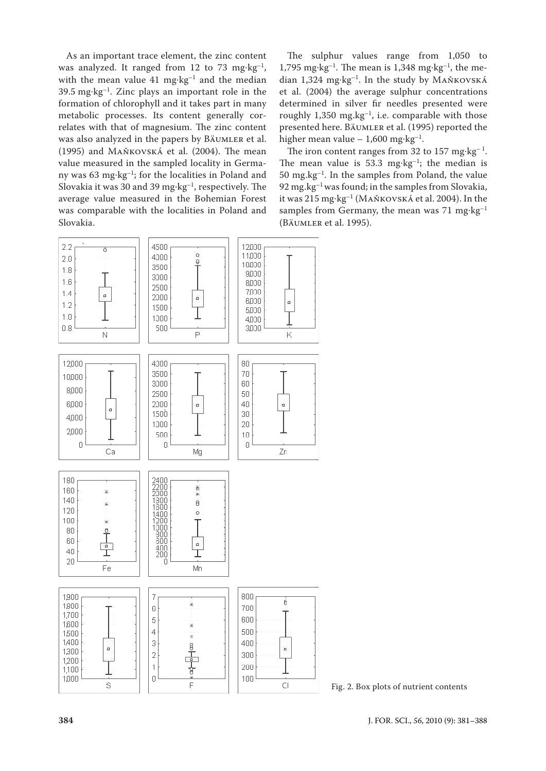As an important trace element, the zinc content was analyzed. It ranged from 12 to 73 mg·kg<sup>-1</sup>, with the mean value 41 mg·kg<sup>-1</sup> and the median  $39.5 \text{ mg} \cdot \text{kg}^{-1}$ . Zinc plays an important role in the formation of chlorophyll and it takes part in many metabolic processes. Its content generally correlates with that of magnesium. The zinc content was also analyzed in the papers by Bäumler et al. (1995) and Maňkovská et al. (2004). The mean value measured in the sampled locality in Germany was 63 mg·kg–1; for the localities in Poland and Slovakia it was 30 and 39 mg·kg<sup>-1</sup>, respectively. The average value measured in the Bohemian Forest was comparable with the localities in Poland and Slovakia.

The sulphur values range from 1,050 to 1,795 mg·kg<sup>-1</sup>. The mean is 1,348 mg·kg<sup>-1</sup>, the median 1,324 mg·kg–1. In the study by Maňkovská et al. (2004) the average sulphur concentrations determined in silver fir needles presented were roughly  $1,350$  mg.kg<sup>-1</sup>, i.e. comparable with those presented here. Bäumler et al. (1995) reported the higher mean value – 1,600 mg·kg<sup>-1</sup>.

The iron content ranges from 32 to  $157 \text{ mg} \cdot \text{kg}^{-1}$ . The mean value is 53.3 mg·kg<sup>-1</sup>; the median is  $50 \text{ mg}$ . $\text{kg}^{-1}$ . In the samples from Poland, the value  $92 \,\mathrm{mg}$ .kg<sup>-1</sup> was found; in the samples from Slovakia, it was 215 mg·kg–1 (Maňkovská et al. 2004). In the samples from Germany, the mean was  $71 \text{ mg} \cdot \text{kg}^{-1}$ (Bäumler et al. 1995).



Fig. 2. Box plots of nutrient contents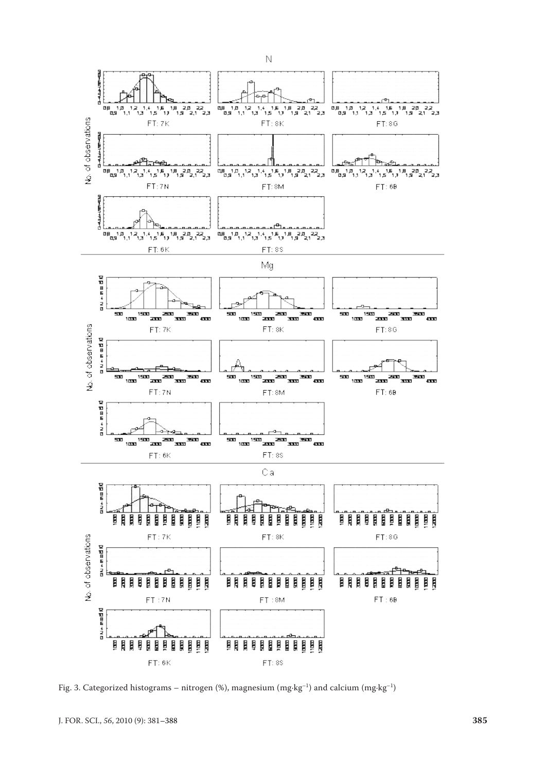

Fig. 3. Categorized histograms – nitrogen (%), magnesium (mg·kg<sup>-1</sup>) and calcium (mg·kg<sup>-1</sup>)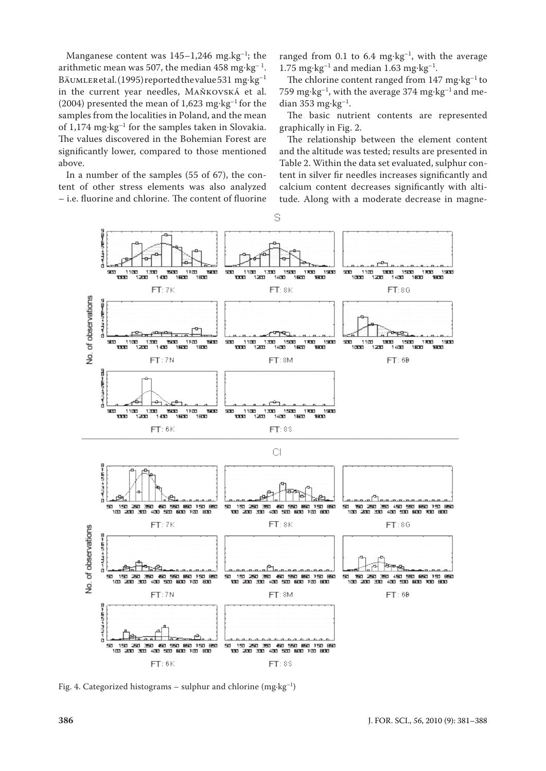Manganese content was  $145-1,246$  mg.kg<sup>-1</sup>; the arithmetic mean was 507, the median  $458 \text{ mg} \cdot \text{kg}^{-1}$ . BÄUMLER et al. (1995) reported the value 531 mg·kg<sup>-1</sup> in the current year needles, Maňkovská et al. (2004) presented the mean of 1,623 mg·kg<sup>-1</sup> for the samples from the localities in Poland, and the mean of 1,174 mg·kg–1 for the samples taken in Slovakia. The values discovered in the Bohemian Forest are significantly lower, compared to those mentioned above.

In a number of the samples (55 of 67), the content of other stress elements was also analyzed – i.e. fluorine and chlorine. The content of fluorine ranged from 0.1 to 6.4 mg·kg<sup>-1</sup>, with the average 1.75 mg·kg<sup>-1</sup> and median 1.63 mg·kg<sup>-1</sup>.

The chlorine content ranged from  $147 \text{ mg} \cdot \text{kg}^{-1}$  to 759 mg·kg–1, with the average 374 mg·kg–1 and median 353 mg·kg<sup>-1</sup>.

The basic nutrient contents are represented graphically in Fig. 2.

The relationship between the element content and the altitude was tested; results are presented in Table 2. Within the data set evaluated, sulphur content in silver fir needles increases significantly and calcium content decreases significantly with altitude. Along with a moderate decrease in magne-



Fig. 4. Categorized histograms – sulphur and chlorine (mg·kg–1)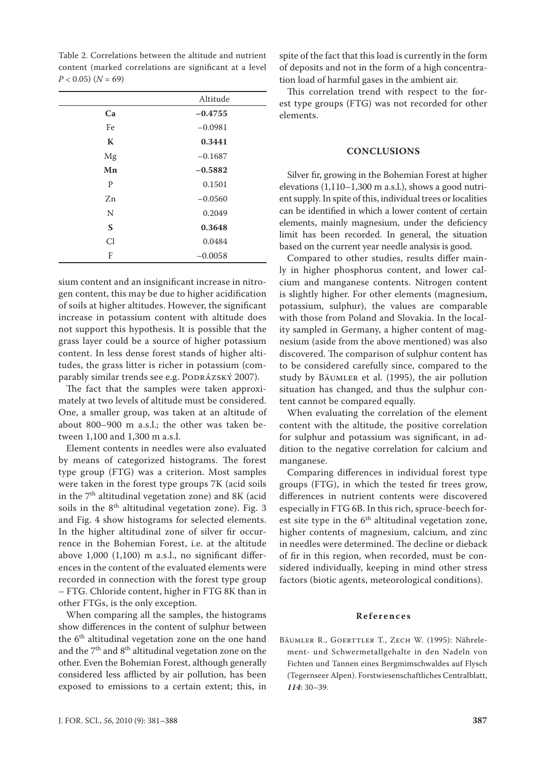Table 2. Correlations between the altitude and nutrient content (marked correlations are significant at a level  $P < 0.05$ ) ( $N = 69$ )

|    | Altitude  |
|----|-----------|
| Ca | $-0.4755$ |
| Fe | $-0.0981$ |
| K  | 0.3441    |
| Mg | $-0.1687$ |
| Mn | $-0.5882$ |
| P  | 0.1501    |
| Zn | $-0.0560$ |
| N  | 0.2049    |
| S  | 0.3648    |
| Cl | 0.0484    |
| F  | $-0.0058$ |

sium content and an insignificant increase in nitrogen content, this may be due to higher acidification of soils at higher altitudes. However, the significant increase in potassium content with altitude does not support this hypothesis. It is possible that the grass layer could be a source of higher potassium content. In less dense forest stands of higher altitudes, the grass litter is richer in potassium (comparably similar trends see e.g. PODRÁZSKÝ 2007).

The fact that the samples were taken approximately at two levels of altitude must be considered. One, a smaller group, was taken at an altitude of about 800–900 m a.s.l.; the other was taken between 1,100 and 1,300 m a.s.l.

Element contents in needles were also evaluated by means of categorized histograms. The forest type group (FTG) was a criterion. Most samples were taken in the forest type groups 7K (acid soils in the  $7<sup>th</sup>$  altitudinal vegetation zone) and 8K (acid soils in the  $8<sup>th</sup>$  altitudinal vegetation zone). Fig. 3 and Fig. 4 show histograms for selected elements. In the higher altitudinal zone of silver fir occurrence in the Bohemian Forest, i.e. at the altitude above 1,000 (1,100) m a.s.l., no significant differences in the content of the evaluated elements were recorded in connection with the forest type group – FTG. Chloride content, higher in FTG 8K than in other FTGs, is the only exception.

When comparing all the samples, the histograms show differences in the content of sulphur between the 6<sup>th</sup> altitudinal vegetation zone on the one hand and the 7<sup>th</sup> and 8<sup>th</sup> altitudinal vegetation zone on the other. Even the Bohemian Forest, although generally considered less afflicted by air pollution, has been exposed to emissions to a certain extent; this, in spite of the fact that this load is currently in the form of deposits and not in the form of a high concentration load of harmful gases in the ambient air.

This correlation trend with respect to the forest type groups (FTG) was not recorded for other elements.

#### **conclusions**

Silver fir, growing in the Bohemian Forest at higher elevations  $(1,110-1,300 \text{ m a.s.}!)$ , shows a good nutrient supply. In spite of this, individual trees or localities can be identified in which a lower content of certain elements, mainly magnesium, under the deficiency limit has been recorded. In general, the situation based on the current year needle analysis is good.

Compared to other studies, results differ mainly in higher phosphorus content, and lower calcium and manganese contents. Nitrogen content is slightly higher. For other elements (magnesium, potassium, sulphur), the values are comparable with those from Poland and Slovakia. In the locality sampled in Germany, a higher content of magnesium (aside from the above mentioned) was also discovered. The comparison of sulphur content has to be considered carefully since, compared to the study by Bäumler et al. (1995), the air pollution situation has changed, and thus the sulphur content cannot be compared equally.

When evaluating the correlation of the element content with the altitude, the positive correlation for sulphur and potassium was significant, in addition to the negative correlation for calcium and manganese.

Comparing differences in individual forest type groups (FTG), in which the tested fir trees grow, differences in nutrient contents were discovered especially in FTG 6B. In this rich, spruce-beech forest site type in the  $6<sup>th</sup>$  altitudinal vegetation zone, higher contents of magnesium, calcium, and zinc in needles were determined. The decline or dieback of fir in this region, when recorded, must be considered individually, keeping in mind other stress factors (biotic agents, meteorological conditions).

#### **R e f e r e n c e s**

BÄUMLER R., GOERTTLER T., ZECH W. (1995): Nährelement- und Schwermetallgehalte in den Nadeln von Fichten und Tannen eines Bergmimschwaldes auf Flysch (Tegernseer Alpen). Forstwiesenschaftliches Centralblatt, *114*: 30–39.